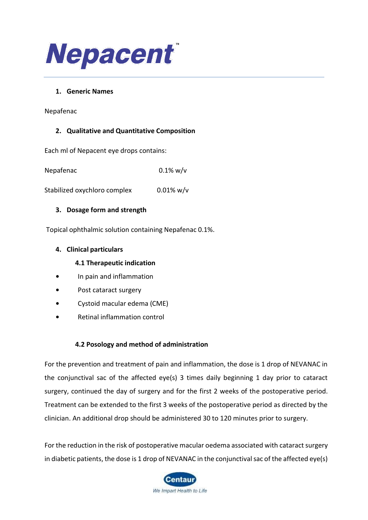

#### **1. Generic Names**

Nepafenac

#### **2. Qualitative and Quantitative Composition**

Each ml of Nepacent eye drops contains:

Nepafenac 0.1% w/v

Stabilized oxychloro complex 0.01% w/v

#### **3. Dosage form and strength**

Topical ophthalmic solution containing Nepafenac 0.1%.

#### **4. Clinical particulars**

### **4.1 Therapeutic indication**

- **•** In pain and inflammation
- **•** Post cataract surgery
- **•** Cystoid macular edema (CME)
- **•** Retinal inflammation control

#### **4.2 Posology and method of administration**

For the prevention and treatment of pain and inflammation, the dose is 1 drop of NEVANAC in the conjunctival sac of the affected eye(s) 3 times daily beginning 1 day prior to cataract surgery, continued the day of surgery and for the first 2 weeks of the postoperative period. Treatment can be extended to the first 3 weeks of the postoperative period as directed by the clinician. An additional drop should be administered 30 to 120 minutes prior to surgery.

For the reduction in the risk of postoperative macular oedema associated with cataract surgery in diabetic patients, the dose is 1 drop of NEVANAC in the conjunctival sac of the affected eye(s)

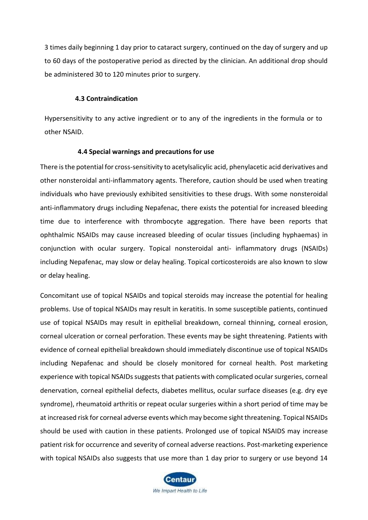3 times daily beginning 1 day prior to cataract surgery, continued on the day of surgery and up to 60 days of the postoperative period as directed by the clinician. An additional drop should be administered 30 to 120 minutes prior to surgery.

#### **4.3 Contraindication**

Hypersensitivity to any active ingredient or to any of the ingredients in the formula or to other NSAID.

#### **4.4 Special warnings and precautions for use**

There is the potential for cross-sensitivity to acetylsalicylic acid, phenylacetic acid derivatives and other nonsteroidal anti-inflammatory agents. Therefore, caution should be used when treating individuals who have previously exhibited sensitivities to these drugs. With some nonsteroidal anti-inflammatory drugs including Nepafenac, there exists the potential for increased bleeding time due to interference with thrombocyte aggregation. There have been reports that ophthalmic NSAIDs may cause increased bleeding of ocular tissues (including hyphaemas) in conjunction with ocular surgery. Topical nonsteroidal anti- inflammatory drugs (NSAIDs) including Nepafenac, may slow or delay healing. Topical corticosteroids are also known to slow or delay healing.

Concomitant use of topical NSAIDs and topical steroids may increase the potential for healing problems. Use of topical NSAIDs may result in keratitis. In some susceptible patients, continued use of topical NSAIDs may result in epithelial breakdown, corneal thinning, corneal erosion, corneal ulceration or corneal perforation. These events may be sight threatening. Patients with evidence of corneal epithelial breakdown should immediately discontinue use of topical NSAIDs including Nepafenac and should be closely monitored for corneal health. Post marketing experience with topical NSAIDs suggests that patients with complicated ocular surgeries, corneal denervation, corneal epithelial defects, diabetes mellitus, ocular surface diseases (e.g. dry eye syndrome), rheumatoid arthritis or repeat ocular surgeries within a short period of time may be at increased risk for corneal adverse events which may become sight threatening. Topical NSAIDs should be used with caution in these patients. Prolonged use of topical NSAIDS may increase patient risk for occurrence and severity of corneal adverse reactions. Post-marketing experience with topical NSAIDs also suggests that use more than 1 day prior to surgery or use beyond 14

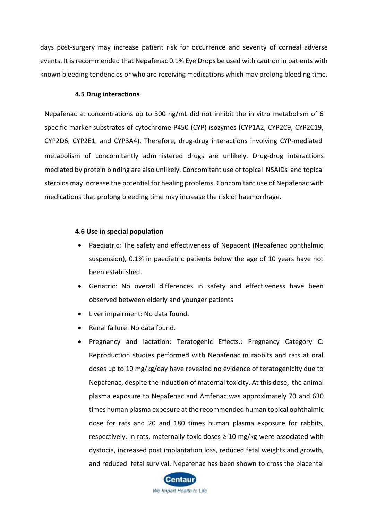days post-surgery may increase patient risk for occurrence and severity of corneal adverse events. It is recommended that Nepafenac 0.1% Eye Drops be used with caution in patients with known bleeding tendencies or who are receiving medications which may prolong bleeding time.

#### **4.5 Drug interactions**

Nepafenac at concentrations up to 300 ng/mL did not inhibit the in vitro metabolism of 6 specific marker substrates of cytochrome P450 (CYP) isozymes (CYP1A2, CYP2C9, CYP2C19, CYP2D6, CYP2E1, and CYP3A4). Therefore, drug-drug interactions involving CYP-mediated metabolism of concomitantly administered drugs are unlikely. Drug-drug interactions mediated by protein binding are also unlikely. Concomitant use of topical NSAIDs and topical steroids may increase the potential for healing problems. Concomitant use of Nepafenac with medications that prolong bleeding time may increase the risk of haemorrhage.

#### **4.6 Use in special population**

- Paediatric: The safety and effectiveness of Nepacent (Nepafenac ophthalmic suspension), 0.1% in paediatric patients below the age of 10 years have not been established.
- Geriatric: No overall differences in safety and effectiveness have been observed between elderly and younger patients
- Liver impairment: No data found.
- Renal failure: No data found.
- Pregnancy and lactation: Teratogenic Effects.: Pregnancy Category C: Reproduction studies performed with Nepafenac in rabbits and rats at oral doses up to 10 mg/kg/day have revealed no evidence of teratogenicity due to Nepafenac, despite the induction of maternal toxicity. At this dose, the animal plasma exposure to Nepafenac and Amfenac was approximately 70 and 630 times human plasma exposure at the recommended human topical ophthalmic dose for rats and 20 and 180 times human plasma exposure for rabbits, respectively. In rats, maternally toxic doses  $\geq 10$  mg/kg were associated with dystocia, increased post implantation loss, reduced fetal weights and growth, and reduced fetal survival. Nepafenac has been shown to cross the placental

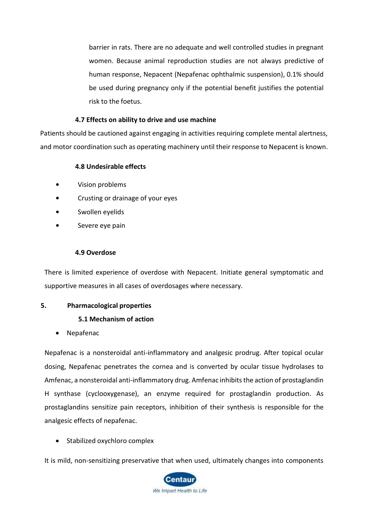barrier in rats. There are no adequate and well controlled studies in pregnant women. Because animal reproduction studies are not always predictive of human response, Nepacent (Nepafenac ophthalmic suspension), 0.1% should be used during pregnancy only if the potential benefit justifies the potential risk to the foetus.

### **4.7 Effects on ability to drive and use machine**

Patients should be cautioned against engaging in activities requiring complete mental alertness, and motor coordination such as operating machinery until their response to Nepacent is known.

## **4.8 Undesirable effects**

- **•** Vision problems
- **•** Crusting or drainage of your eyes
- **•** Swollen eyelids
- **•** Severe eye pain

#### **4.9 Overdose**

There is limited experience of overdose with Nepacent. Initiate general symptomatic and supportive measures in all cases of overdosages where necessary.

#### **5. Pharmacological properties**

## **5.1 Mechanism of action**

• Nepafenac

Nepafenac is a nonsteroidal anti-inflammatory and analgesic prodrug. After topical ocular dosing, Nepafenac penetrates the cornea and is converted by ocular tissue hydrolases to Amfenac, a nonsteroidal anti-inflammatory drug. Amfenac inhibits the action of prostaglandin H synthase (cyclooxygenase), an enzyme required for prostaglandin production. As prostaglandins sensitize pain receptors, inhibition of their synthesis is responsible for the analgesic effects of nepafenac.

• Stabilized oxychloro complex

It is mild, non-sensitizing preservative that when used, ultimately changes into components

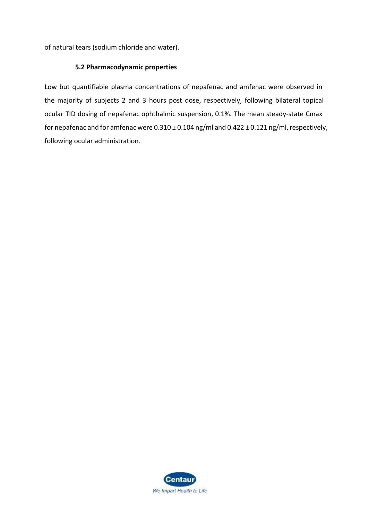of natural tears (sodium chloride and water).

#### **5.2 Pharmacodynamic properties**

Low but quantifiable plasma concentrations of nepafenac and amfenac were observed in the majority of subjects 2 and 3 hours post dose, respectively, following bilateral topical ocular TID dosing of nepafenac ophthalmic suspension, 0.1%. The mean steady-state Cmax for nepafenac and for amfenac were 0.310 ± 0.104 ng/ml and 0.422 ± 0.121 ng/ml, respectively, following ocular administration.

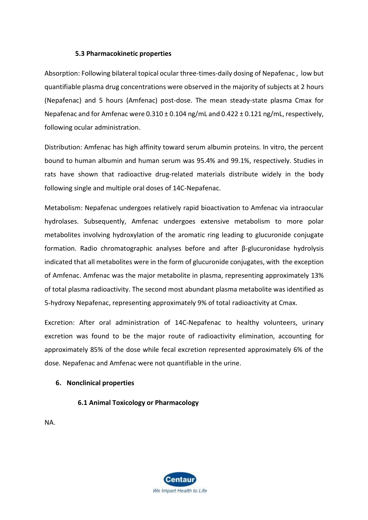#### **5.3 Pharmacokinetic properties**

Absorption: Following bilateral topical ocular three-times-daily dosing of Nepafenac , low but quantifiable plasma drug concentrations were observed in the majority of subjects at 2 hours (Nepafenac) and 5 hours (Amfenac) post-dose. The mean steady-state plasma Cmax for Nepafenac and for Amfenac were 0.310 ± 0.104 ng/mL and 0.422 ± 0.121 ng/mL, respectively, following ocular administration.

Distribution: Amfenac has high affinity toward serum albumin proteins. In vitro, the percent bound to human albumin and human serum was 95.4% and 99.1%, respectively. Studies in rats have shown that radioactive drug-related materials distribute widely in the body following single and multiple oral doses of 14C-Nepafenac.

Metabolism: Nepafenac undergoes relatively rapid bioactivation to Amfenac via intraocular hydrolases. Subsequently, Amfenac undergoes extensive metabolism to more polar metabolites involving hydroxylation of the aromatic ring leading to glucuronide conjugate formation. Radio chromatographic analyses before and after β-glucuronidase hydrolysis indicated that all metabolites were in the form of glucuronide conjugates, with the exception of Amfenac. Amfenac was the major metabolite in plasma, representing approximately 13% of total plasma radioactivity. The second most abundant plasma metabolite was identified as 5-hydroxy Nepafenac, representing approximately 9% of total radioactivity at Cmax.

Excretion: After oral administration of 14C-Nepafenac to healthy volunteers, urinary excretion was found to be the major route of radioactivity elimination, accounting for approximately 85% of the dose while fecal excretion represented approximately 6% of the dose. Nepafenac and Amfenac were not quantifiable in the urine.

## **6. Nonclinical properties**

## **6.1 Animal Toxicology or Pharmacology**

NA.

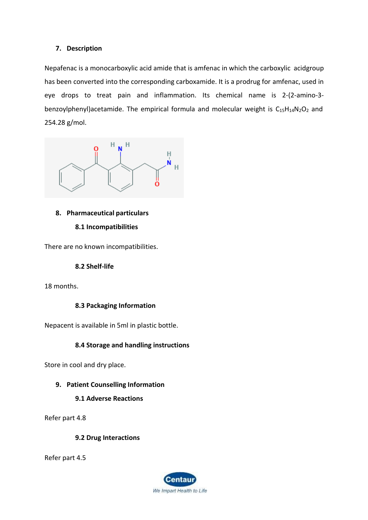## **7. Description**

Nepafenac is a monocarboxylic acid amide that is [amfenac i](https://pubchem.ncbi.nlm.nih.gov/compound/amfenac)n which the carboxylic acidgroup has been converted into the corresponding carboxamide. It is a prodrug for [amfenac,](https://pubchem.ncbi.nlm.nih.gov/compound/amfenac) used in eye drops to treat pain and inflammation. Its chemical name is 2-(2-amino-3 benzoylphenyl)acetamide. The empirical formula and molecular weight is  $C_{15}H_{14}N_2O_2$  $C_{15}H_{14}N_2O_2$  $C_{15}H_{14}N_2O_2$  and 254.28 g/mol.



## **8. Pharmaceutical particulars 8.1 Incompatibilities**

There are no known incompatibilities.

#### **8.2 Shelf-life**

18 months.

## **8.3 Packaging Information**

Nepacent is available in 5ml in plastic bottle.

## **8.4 Storage and handling instructions**

Store in cool and dry place.

## **9. Patient Counselling Information**

#### **9.1 Adverse Reactions**

Refer part 4.8

#### **9.2 Drug Interactions**

Refer part 4.5